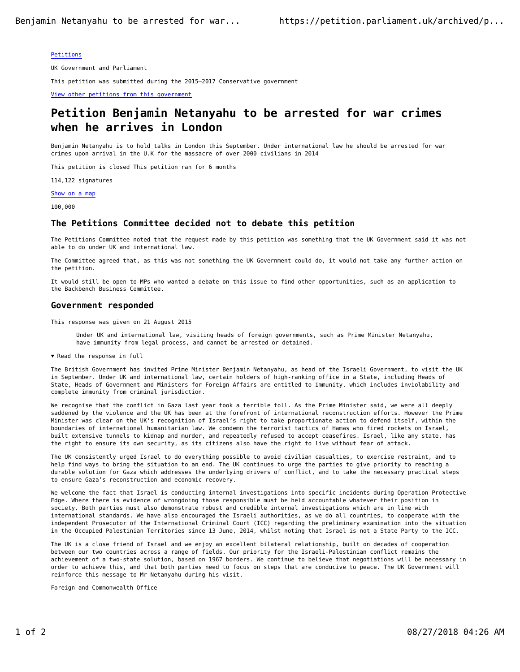### Petitions

UK Government and Parliament

This petition was submitted during the 2015–2017 Conservative government

View other petitions from this government

# **Petition Benjamin Netanyahu to be arrested for war crimes when he arrives in London**

Benjamin Netanyahu is to hold talks in London this September. Under international law he should be arrested for war crimes upon arrival in the U.K for the massacre of over 2000 civilians in 2014

This petition is closed This petition ran for 6 months

114,122 signatures

Show on a map

100,000

## **The Petitions Committee decided not to debate this petition**

The Petitions Committee noted that the request made by this petition was something that the UK Government said it was not able to do under UK and international law.

The Committee agreed that, as this was not something the UK Government could do, it would not take any further action on the petition.

It would still be open to MPs who wanted a debate on this issue to find other opportunities, such as an application to the Backbench Business Committee.

#### **Government responded**

This response was given on 21 August 2015

- Under UK and international law, visiting heads of foreign governments, such as Prime Minister Netanyahu, have immunity from legal process, and cannot be arrested or detained.
- $\blacktriangledown$  Read the response in full

The British Government has invited Prime Minister Benjamin Netanyahu, as head of the Israeli Government, to visit the UK in September. Under UK and international law, certain holders of high-ranking office in a State, including Heads of State, Heads of Government and Ministers for Foreign Affairs are entitled to immunity, which includes inviolability and complete immunity from criminal jurisdiction.

We recognise that the conflict in Gaza last year took a terrible toll. As the Prime Minister said, we were all deeply saddened by the violence and the UK has been at the forefront of international reconstruction efforts. However the Prime Minister was clear on the UK's recognition of Israel's right to take proportionate action to defend itself, within the boundaries of international humanitarian law. We condemn the terrorist tactics of Hamas who fired rockets on Israel, built extensive tunnels to kidnap and murder, and repeatedly refused to accept ceasefires. Israel, like any state, has the right to ensure its own security, as its citizens also have the right to live without fear of attack.

The UK consistently urged Israel to do everything possible to avoid civilian casualties, to exercise restraint, and to help find ways to bring the situation to an end. The UK continues to urge the parties to give priority to reaching a durable solution for Gaza which addresses the underlying drivers of conflict, and to take the necessary practical steps to ensure Gaza's reconstruction and economic recovery.

We welcome the fact that Israel is conducting internal investigations into specific incidents during Operation Protective Edge. Where there is evidence of wrongdoing those responsible must be held accountable whatever their position in society. Both parties must also demonstrate robust and credible internal investigations which are in line with international standards. We have also encouraged the Israeli authorities, as we do all countries, to cooperate with the independent Prosecutor of the International Criminal Court (ICC) regarding the preliminary examination into the situation in the Occupied Palestinian Territories since 13 June, 2014, whilst noting that Israel is not a State Party to the ICC.

The UK is a close friend of Israel and we enjoy an excellent bilateral relationship, built on decades of cooperation between our two countries across a range of fields. Our priority for the Israeli-Palestinian conflict remains the achievement of a two-state solution, based on 1967 borders. We continue to believe that negotiations will be necessary in order to achieve this, and that both parties need to focus on steps that are conducive to peace. The UK Government will reinforce this message to Mr Netanyahu during his visit.

Foreign and Commonwealth Office